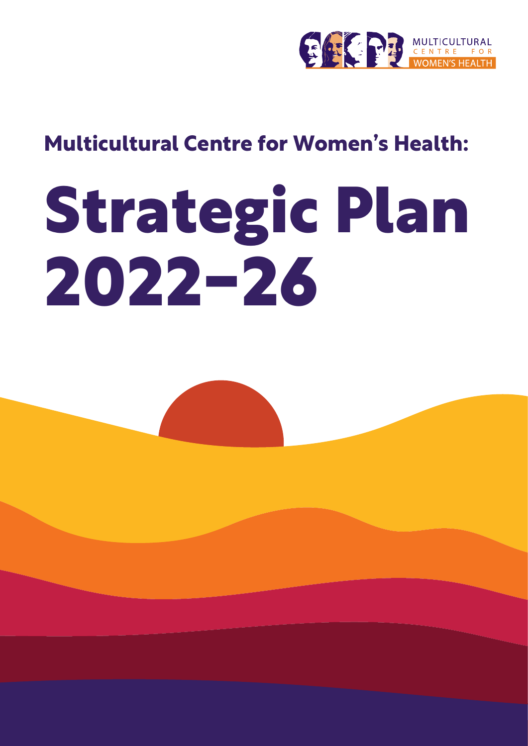

# **Multicultural Centre for Women's Health:**

# **Strategic Plan 2022-26**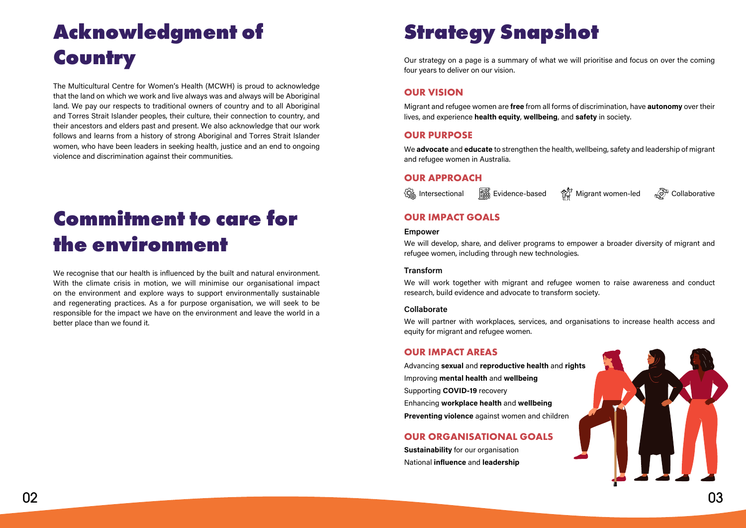

# **Strategy Snapshot**

Our strategy on a page is a summary of what we will prioritise and focus on over the coming four years to deliver on our vision.

### **OUR VISION**

Migrant and refugee women are **free** from all forms of discrimination, have **autonomy** over their lives, and experience **health equity**, **wellbeing**, and **safety** in society.

### **OUR PURPOSE**

We **advocate** and **educate** to strengthen the health, wellbeing, safety and leadership of migrant and refugee women in Australia.

### **OUR APPROACH**



# **Acknowledgment of Country**

We recognise that our health is influenced by the built and natural environment. With the climate crisis in motion, we will minimise our organisational impact on the environment and explore ways to support environmentally sustainable and regenerating practices. As a for purpose organisation, we will seek to be responsible for the impact we have on the environment and leave the world in a better place than we found it.

The Multicultural Centre for Women's Health (MCWH) is proud to acknowledge that the land on which we work and live always was and always will be Aboriginal land. We pay our respects to traditional owners of country and to all Aboriginal and Torres Strait Islander peoples, their culture, their connection to country, and their ancestors and elders past and present. We also acknowledge that our work follows and learns from a history of strong Aboriginal and Torres Strait Islander women, who have been leaders in seeking health, justice and an end to ongoing violence and discrimination against their communities.

> We will develop, share, and deliver programs to empower a broader diversity of migrant and refugee women, including through new technologies.

# **Commitment to care for the environment**

# **OUR IMPACT GOALS**

#### **Empower**

#### **Transform**

We will work together with migrant and refugee women to raise awareness and conduct research, build evidence and advocate to transform society.

#### **Collaborate**

We will partner with workplaces, services, and organisations to increase health access and equity for migrant and refugee women.

### **OUR IMPACT AREAS**

Advancing **sexual** and **reproductive health** and **rights** Improving **mental health** and **wellbeing** Supporting **COVID-19** recovery Enhancing **workplace health** and **wellbeing Preventing violence** against women and children

### **OUR ORGANISATIONAL GOALS**

**Sustainability** for our organisation National **influence** and **leadership**



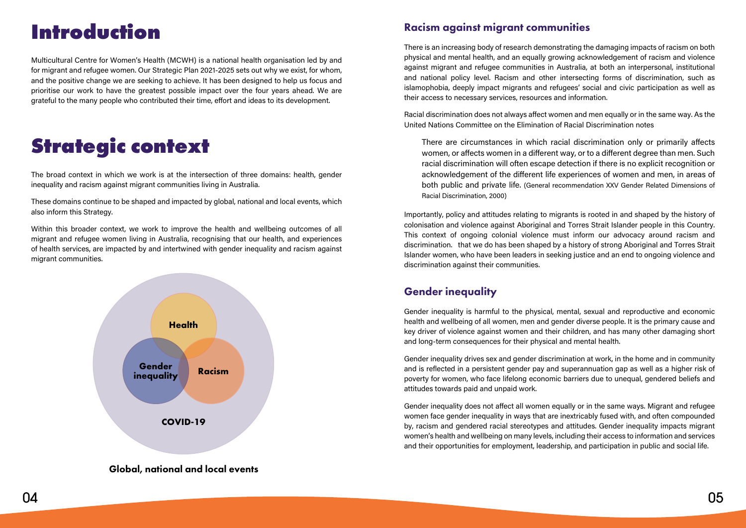# **Introduction**

Multicultural Centre for Women's Health (MCWH) is a national health organisation led by and for migrant and refugee women. Our Strategic Plan 2021-2025 sets out why we exist, for whom, and the positive change we are seeking to achieve. It has been designed to help us focus and prioritise our work to have the greatest possible impact over the four years ahead. We are grateful to the many people who contributed their time, effort and ideas to its development.

# **Strategic context**

The broad context in which we work is at the intersection of three domains: health, gender inequality and racism against migrant communities living in Australia.

These domains continue to be shaped and impacted by global, national and local events, which also inform this Strategy.

Within this broader context, we work to improve the health and wellbeing outcomes of all migrant and refugee women living in Australia, recognising that our health, and experiences of health services, are impacted by and intertwined with gender inequality and racism against migrant communities.

### Racism against migrant communities

There is an increasing body of research demonstrating the damaging impacts of racism on both physical and mental health, and an equally growing acknowledgement of racism and violence against migrant and refugee communities in Australia, at both an interpersonal, institutional and national policy level. Racism and other intersecting forms of discrimination, such as islamophobia, deeply impact migrants and refugees' social and civic participation as well as their access to necessary services, resources and information.

Racial discrimination does not always affect women and men equally or in the same way. As the United Nations Committee on the Elimination of Racial Discrimination notes

There are circumstances in which racial discrimination only or primarily affects women, or affects women in a different way, or to a different degree than men. Such racial discrimination will often escape detection if there is no explicit recognition or acknowledgement of the different life experiences of women and men, in areas of both public and private life. (General recommendation XXV Gender Related Dimensions of Racial Discrimination, 2000)

Importantly, policy and attitudes relating to migrants is rooted in and shaped by the history of colonisation and violence against Aboriginal and Torres Strait Islander people in this Country. This context of ongoing colonial violence must inform our advocacy around racism and discrimination. that we do has been shaped by a history of strong Aboriginal and Torres Strait Islander women, who have been leaders in seeking justice and an end to ongoing violence and discrimination against their communities.

# Gender inequality

Gender inequality is harmful to the physical, mental, sexual and reproductive and economic health and wellbeing of all women, men and gender diverse people. It is the primary cause and key driver of violence against women and their children, and has many other damaging short and long-term consequences for their physical and mental health.

Gender inequality drives sex and gender discrimination at work, in the home and in community and is reflected in a persistent gender pay and superannuation gap as well as a higher risk of poverty for women, who face lifelong economic barriers due to unequal, gendered beliefs and attitudes towards paid and unpaid work.

Gender inequality does not affect all women equally or in the same ways. Migrant and refugee women face gender inequality in ways that are inextricably fused with, and often compounded by, racism and gendered racial stereotypes and attitudes. Gender inequality impacts migrant women's health and wellbeing on many levels, including their access to information and services and their opportunities for employment, leadership, and participation in public and social life.



#### Global, national and local events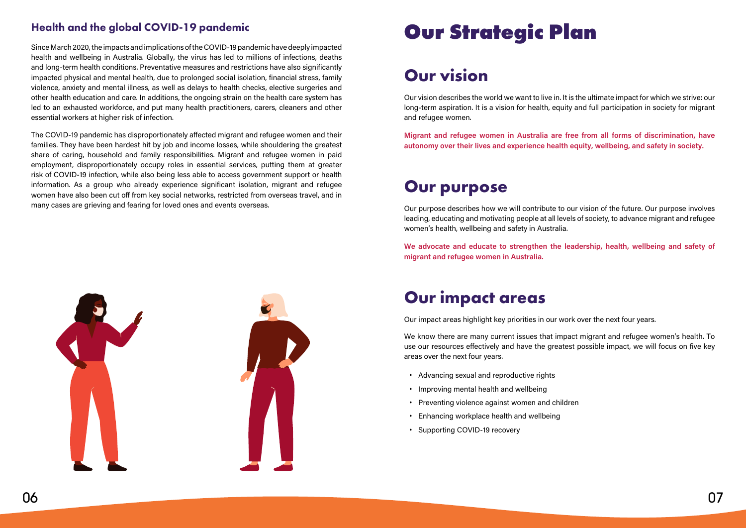# Health and the global COVID-19 pandemic

Since March 2020, the impacts and implications of the COVID-19 pandemic have deeply impacted health and wellbeing in Australia. Globally, the virus has led to millions of infections, deaths and long-term health conditions. Preventative measures and restrictions have also significantly impacted physical and mental health, due to prolonged social isolation, financial stress, family violence, anxiety and mental illness, as well as delays to health checks, elective surgeries and other health education and care. In additions, the ongoing strain on the health care system has led to an exhausted workforce, and put many health practitioners, carers, cleaners and other essential workers at higher risk of infection.

The COVID-19 pandemic has disproportionately affected migrant and refugee women and their families. They have been hardest hit by job and income losses, while shouldering the greatest share of caring, household and family responsibilities. Migrant and refugee women in paid employment, disproportionately occupy roles in essential services, putting them at greater risk of COVID-19 infection, while also being less able to access government support or health information. As a group who already experience significant isolation, migrant and refugee women have also been cut off from key social networks, restricted from overseas travel, and in many cases are grieving and fearing for loved ones and events overseas.



# **Our Strategic Plan**

# **Our vision**

Our vision describes the world we want to live in. It is the ultimate impact for which we strive: our long-term aspiration. It is a vision for health, equity and full participation in society for migrant and refugee women.

**Migrant and refugee women in Australia are free from all forms of discrimination, have autonomy over their lives and experience health equity, wellbeing, and safety in society.**

# **Our purpose**

Our purpose describes how we will contribute to our vision of the future. Our purpose involves leading, educating and motivating people at all levels of society, to advance migrant and refugee women's health, wellbeing and safety in Australia.

**We advocate and educate to strengthen the leadership, health, wellbeing and safety of migrant and refugee women in Australia.**

# **Our impact areas**

Our impact areas highlight key priorities in our work over the next four years.

We know there are many current issues that impact migrant and refugee women's health. To use our resources effectively and have the greatest possible impact, we will focus on five key areas over the next four years.

- **•** Advancing sexual and reproductive rights
- **•** Improving mental health and wellbeing
- **•** Preventing violence against women and children
- **•** Enhancing workplace health and wellbeing
- **•** Supporting COVID-19 recovery

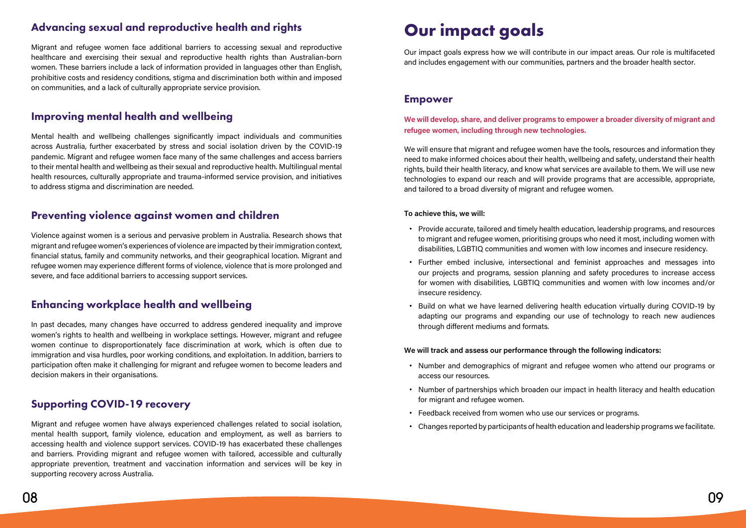# Advancing sexual and reproductive health and rights

Migrant and refugee women face additional barriers to accessing sexual and reproductive healthcare and exercising their sexual and reproductive health rights than Australian-born women. These barriers include a lack of information provided in languages other than English, prohibitive costs and residency conditions, stigma and discrimination both within and imposed on communities, and a lack of culturally appropriate service provision.

### Improving mental health and wellbeing

In past decades, many changes have occurred to address gendered inequality and improve women's rights to health and wellbeing in workplace settings. However, migrant and refugee women continue to disproportionately face discrimination at work, which is often due to immigration and visa hurdles, poor working conditions, and exploitation. In addition, barriers to participation often make it challenging for migrant and refugee women to become leaders and decision makers in their organisations.

Mental health and wellbeing challenges significantly impact individuals and communities across Australia, further exacerbated by stress and social isolation driven by the COVID-19 pandemic. Migrant and refugee women face many of the same challenges and access barriers to their mental health and wellbeing as their sexual and reproductive health. Multilingual mental health resources, culturally appropriate and trauma-informed service provision, and initiatives to address stigma and discrimination are needed.

### Preventing violence against women and children

Violence against women is a serious and pervasive problem in Australia. Research shows that migrant and refugee women's experiences of violence are impacted by their immigration context, financial status, family and community networks, and their geographical location. Migrant and refugee women may experience different forms of violence, violence that is more prolonged and severe, and face additional barriers to accessing support services.

### Enhancing workplace health and wellbeing

# Supporting COVID-19 recovery

Migrant and refugee women have always experienced challenges related to social isolation, mental health support, family violence, education and employment, as well as barriers to accessing health and violence support services. COVID-19 has exacerbated these challenges and barriers. Providing migrant and refugee women with tailored, accessible and culturally appropriate prevention, treatment and vaccination information and services will be key in supporting recovery across Australia.

# **Our impact goals**

Our impact goals express how we will contribute in our impact areas. Our role is multifaceted and includes engagement with our communities, partners and the broader health sector.

### Empower

#### **We will develop, share, and deliver programs to empower a broader diversity of migrant and refugee women, including through new technologies.**

We will ensure that migrant and refugee women have the tools, resources and information they need to make informed choices about their health, wellbeing and safety, understand their health rights, build their health literacy, and know what services are available to them. We will use new technologies to expand our reach and will provide programs that are accessible, appropriate, and tailored to a broad diversity of migrant and refugee women.

#### **To achieve this, we will:**

to migrant and refugee women, prioritising groups who need it most, including women with

- **•** Provide accurate, tailored and timely health education, leadership programs, and resources disabilities, LGBTIQ communities and women with low incomes and insecure residency.
- **•** Further embed inclusive, intersectional and feminist approaches and messages into insecure residency.
- **•** Build on what we have learned delivering health education virtually during COVID-19 by through different mediums and formats.

our projects and programs, session planning and safety procedures to increase access for women with disabilities, LGBTIQ communities and women with low incomes and/or

adapting our programs and expanding our use of technology to reach new audiences

#### **We will track and assess our performance through the following indicators:**

- **•** Number and demographics of migrant and refugee women who attend our programs or access our resources.
- **•** Number of partnerships which broaden our impact in health literacy and health education for migrant and refugee women.
- **•** Feedback received from women who use our services or programs.
- **•** Changes reported by participants of health education and leadership programs we facilitate.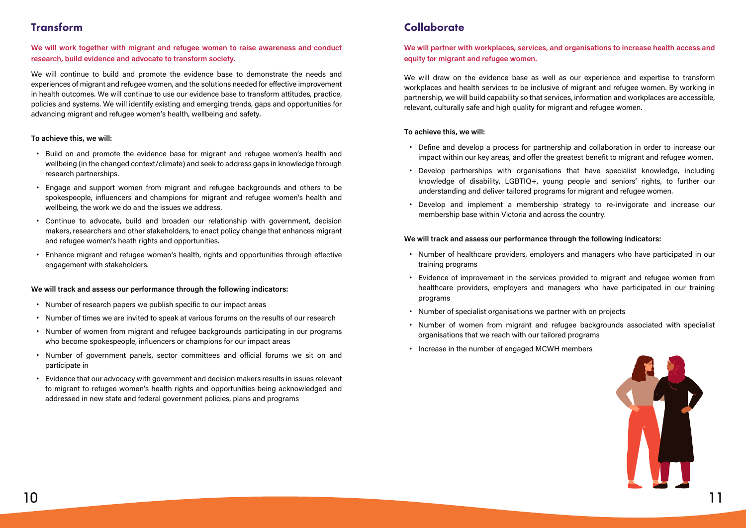

# Transform

#### **We will work together with migrant and refugee women to raise awareness and conduct research, build evidence and advocate to transform society.**

We will continue to build and promote the evidence base to demonstrate the needs and experiences of migrant and refugee women, and the solutions needed for effective improvement in health outcomes. We will continue to use our evidence base to transform attitudes, practice, policies and systems. We will identify existing and emerging trends, gaps and opportunities for advancing migrant and refugee women's health, wellbeing and safety.

#### **To achieve this, we will:**

- **•** Build on and promote the evidence base for migrant and refugee women's health and wellbeing (in the changed context/climate) and seek to address gaps in knowledge through research partnerships.
- **•** Engage and support women from migrant and refugee backgrounds and others to be spokespeople, influencers and champions for migrant and refugee women's health and wellbeing, the work we do and the issues we address.
- **•** Continue to advocate, build and broaden our relationship with government, decision makers, researchers and other stakeholders, to enact policy change that enhances migrant and refugee women's heath rights and opportunities.
- **•** Enhance migrant and refugee women's health, rights and opportunities through effective engagement with stakeholders.

#### **We will track and assess our performance through the following indicators:**

- **•** Number of research papers we publish specific to our impact areas
- **•** Number of times we are invited to speak at various forums on the results of our research
- **•** Number of women from migrant and refugee backgrounds participating in our programs who become spokespeople, influencers or champions for our impact areas
- **•** Number of government panels, sector committees and official forums we sit on and participate in
- **•** Evidence that our advocacy with government and decision makers results in issues relevant to migrant to refugee women's health rights and opportunities being acknowledged and addressed in new state and federal government policies, plans and programs

# **Collaborate**

#### **We will partner with workplaces, services, and organisations to increase health access and equity for migrant and refugee women.**

We will draw on the evidence base as well as our experience and expertise to transform workplaces and health services to be inclusive of migrant and refugee women. By working in partnership, we will build capability so that services, information and workplaces are accessible, relevant, culturally safe and high quality for migrant and refugee women.

#### **To achieve this, we will:**

impact within our key areas, and offer the greatest benefit to migrant and refugee women.

- **•** Define and develop a process for partnership and collaboration in order to increase our
- **•** Develop partnerships with organisations that have specialist knowledge, including understanding and deliver tailored programs for migrant and refugee women.
- **•** Develop and implement a membership strategy to re-invigorate and increase our membership base within Victoria and across the country.

knowledge of disability, LGBTIQ+, young people and seniors' rights, to further our

#### **We will track and assess our performance through the following indicators:**

healthcare providers, employers and managers who have participated in our training

- **•** Number of healthcare providers, employers and managers who have participated in our training programs
- **•** Evidence of improvement in the services provided to migrant and refugee women from programs
- **•** Number of specialist organisations we partner with on projects
- **•** Number of women from migrant and refugee backgrounds associated with specialist organisations that we reach with our tailored programs
- **•** Increase in the number of engaged MCWH members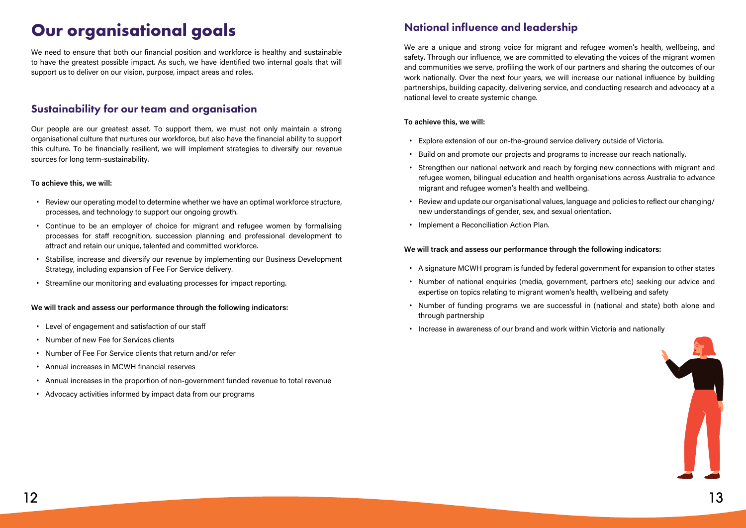# **Our organisational goals**

We need to ensure that both our financial position and workforce is healthy and sustainable to have the greatest possible impact. As such, we have identified two internal goals that will support us to deliver on our vision, purpose, impact areas and roles.

# Sustainability for our team and organisation

Our people are our greatest asset. To support them, we must not only maintain a strong organisational culture that nurtures our workforce, but also have the financial ability to support this culture. To be financially resilient, we will implement strategies to diversify our revenue sources for long term-sustainability.

#### **To achieve this, we will:**

- **•** Review our operating model to determine whether we have an optimal workforce structure, processes, and technology to support our ongoing growth.
- **•** Continue to be an employer of choice for migrant and refugee women by formalising processes for staff recognition, succession planning and professional development to attract and retain our unique, talented and committed workforce.
- **•** Stabilise, increase and diversify our revenue by implementing our Business Development Strategy, including expansion of Fee For Service delivery.
- **•** Streamline our monitoring and evaluating processes for impact reporting.

#### **We will track and assess our performance through the following indicators:**

- **•** Level of engagement and satisfaction of our staff
- **•** Number of new Fee for Services clients
- **•** Number of Fee For Service clients that return and/or refer
- **•** Annual increases in MCWH financial reserves
- **•** Annual increases in the proportion of non-government funded revenue to total revenue
- **•** Advocacy activities informed by impact data from our programs

# National influence and leadership

We are a unique and strong voice for migrant and refugee women's health, wellbeing, and safety. Through our influence, we are committed to elevating the voices of the migrant women and communities we serve, profiling the work of our partners and sharing the outcomes of our work nationally. Over the next four years, we will increase our national influence by building partnerships, building capacity, delivering service, and conducting research and advocacy at a national level to create systemic change.

#### **To achieve this, we will:**

- **•** Explore extension of our on-the-ground service delivery outside of Victoria.
- **•** Build on and promote our projects and programs to increase our reach nationally.
- **•** Strengthen our national network and reach by forging new connections with migrant and refugee women, bilingual education and health organisations across Australia to advance migrant and refugee women's health and wellbeing.
- **•** Review and update our organisational values, language and policies to reflect our changing/ new understandings of gender, sex, and sexual orientation.
- **•** Implement a Reconciliation Action Plan.

#### **We will track and assess our performance through the following indicators:**

- **•** A signature MCWH program is funded by federal government for expansion to other states
- **•** Number of national enquiries (media, government, partners etc) seeking our advice and expertise on topics relating to migrant women's health, wellbeing and safety
- **•** Number of funding programs we are successful in (national and state) both alone and through partnership
- **•** Increase in awareness of our brand and work within Victoria and nationally

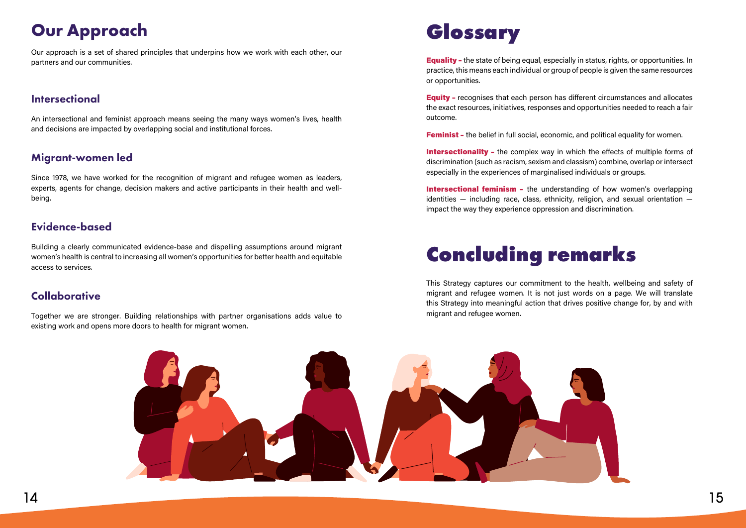# **Glossary**

Equality – the state of being equal, especially in status, rights, or opportunities. In practice, this means each individual or group of people is given the same resources or opportunities.

Equity – recognises that each person has different circumstances and allocates the exact resources, initiatives, responses and opportunities needed to reach a fair outcome.

**Feminist** - the belief in full social, economic, and political equality for women.

Intersectionality - the complex way in which the effects of multiple forms of discrimination (such as racism, sexism and classism) combine, overlap or intersect especially in the experiences of marginalised individuals or groups.

Intersectional feminism - the understanding of how women's overlapping identities — including race, class, ethnicity, religion, and sexual orientation impact the way they experience oppression and discrimination.

# **Concluding remarks**

This Strategy captures our commitment to the health, wellbeing and safety of migrant and refugee women. It is not just words on a page. We will translate this Strategy into meaningful action that drives positive change for, by and with migrant and refugee women.



# **Our Approach**

Our approach is a set of shared principles that underpins how we work with each other, our partners and our communities.

### **Intersectional**

An intersectional and feminist approach means seeing the many ways women's lives, health and decisions are impacted by overlapping social and institutional forces.

### Migrant-women led

Since 1978, we have worked for the recognition of migrant and refugee women as leaders, experts, agents for change, decision makers and active participants in their health and wellbeing.

## Evidence-based

Building a clearly communicated evidence-base and dispelling assumptions around migrant women's health is central to increasing all women's opportunities for better health and equitable access to services.

# **Collaborative**

Together we are stronger. Building relationships with partner organisations adds value to existing work and opens more doors to health for migrant women.